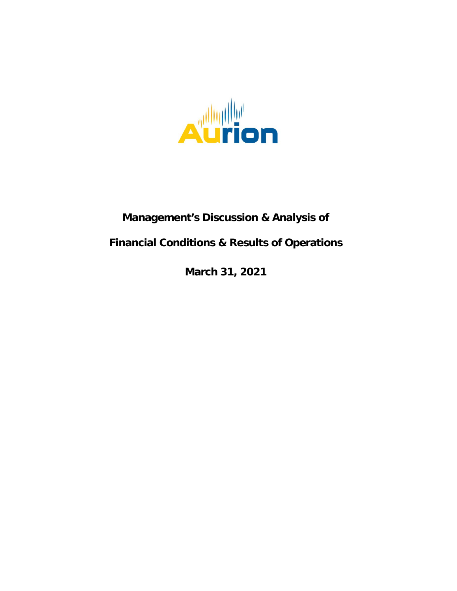

# **Management's Discussion & Analysis of**

# **Financial Conditions & Results of Operations**

**March 31, 2021**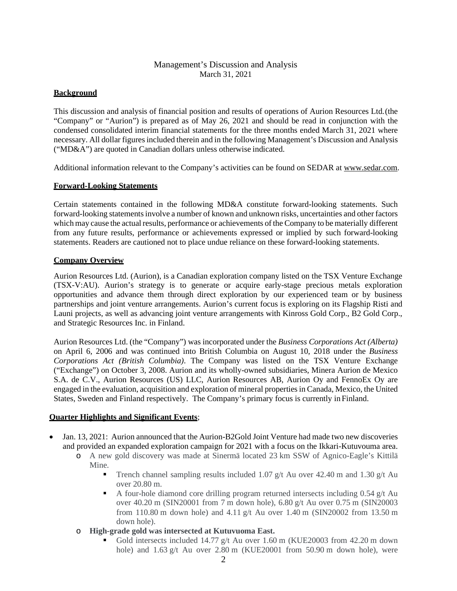# Management's Discussion and Analysis March 31, 2021

## **Background**

This discussion and analysis of financial position and results of operations of Aurion Resources Ltd.(the "Company" or "Aurion") is prepared as of May 26, 2021 and should be read in conjunction with the condensed consolidated interim financial statements for the three months ended March 31, 2021 where necessary. All dollar figures included therein and in the following Management's Discussion and Analysis ("MD&A") are quoted in Canadian dollars unless otherwise indicated.

Additional information relevant to the Company's activities can be found on SEDAR at [www.sedar.com.](http://www.sedar.com/)

#### **Forward-Looking Statements**

Certain statements contained in the following MD&A constitute forward-looking statements. Such forward-looking statements involve a number of known and unknown risks, uncertainties and other factors which may cause the actual results, performance or achievements of the Company to be materially different from any future results, performance or achievements expressed or implied by such forward-looking statements. Readers are cautioned not to place undue reliance on these forward-looking statements.

#### **Company Overview**

Aurion Resources Ltd. (Aurion), is a Canadian exploration company listed on the TSX Venture Exchange (TSX-V:AU). Aurion's strategy is to generate or acquire early-stage precious metals exploration opportunities and advance them through direct exploration by our experienced team or by business partnerships and joint venture arrangements. Aurion's current focus is exploring on its Flagship Risti and Launi projects, as well as advancing joint venture arrangements with Kinross Gold Corp., B2 Gold Corp., and Strategic Resources Inc. in Finland.

Aurion Resources Ltd. (the "Company") was incorporated under the *Business Corporations Act (Alberta)*  on April 6, 2006 and was continued into British Columbia on August 10, 2018 under the *Business Corporations Act (British Columbia)*. The Company was listed on the TSX Venture Exchange ("Exchange") on October 3, 2008. Aurion and its wholly-owned subsidiaries, Minera Aurion de Mexico S.A. de C.V., Aurion Resources (US) LLC, Aurion Resources AB, Aurion Oy and FennoEx Oy are engaged in the evaluation, acquisition and exploration of mineral properties in Canada, Mexico, the United States, Sweden and Finland respectively. The Company's primary focus is currently inFinland.

#### **Quarter Highlights and Significant Events**;

- Jan. 13, 2021: Aurion announced that the Aurion-B2Gold Joint Venture had made two new discoveries and provided an expanded exploration campaign for 2021 with a focus on the Ikkari-Kutuvouma area.
	- o A new gold discovery was made at Sinermä located 23 km SSW of Agnico-Eagle's Kittilä Mine.
		- Trench channel sampling results included 1.07 g/t Au over 42.40 m and 1.30 g/t Au over 20.80 m.
		- A four-hole diamond core drilling program returned intersects including  $0.54$  g/t Au over 40.20 m (SIN20001 from 7 m down hole), 6.80 g/t Au over 0.75 m (SIN20003 from 110.80 m down hole) and 4.11 g/t Au over 1.40 m (SIN20002 from 13.50 m down hole).
	- o **High-grade gold was intersected at Kutuvuoma East.**
		- Gold intersects included 14.77 g/t Au over 1.60 m (KUE20003 from 42.20 m down hole) and 1.63 g/t Au over 2.80 m (KUE20001 from 50.90 m down hole), were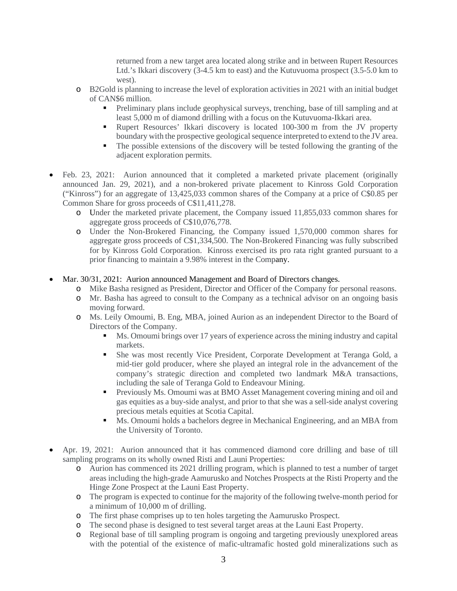returned from a new target area located along strike and in between Rupert Resources Ltd.'s Ikkari discovery (3-4.5 km to east) and the Kutuvuoma prospect (3.5-5.0 km to west).

- o B2Gold is planning to increase the level of exploration activities in 2021 with an initial budget of CAN\$6 million.
	- Preliminary plans include geophysical surveys, trenching, base of till sampling and at least 5,000 m of diamond drilling with a focus on the Kutuvuoma-Ikkari area.
	- Rupert Resources' Ikkari discovery is located 100-300 m from the JV property boundary with the prospective geological sequence interpreted to extend to the JV area.
	- The possible extensions of the discovery will be tested following the granting of the adjacent exploration permits.
- Feb. 23, 2021: Aurion announced that it completed a marketed private placement (originally announced Jan. 29, 2021), and a non-brokered private placement to Kinross Gold Corporation ("Kinross") for an aggregate of 13,425,033 common shares of the Company at a price of C\$0.85 per Common Share for gross proceeds of C\$11,411,278.
	- o Under the marketed private placement, the Company issued 11,855,033 common shares for aggregate gross proceeds of C\$10,076,778.
	- o Under the Non-Brokered Financing, the Company issued 1,570,000 common shares for aggregate gross proceeds of C\$1,334,500. The Non-Brokered Financing was fully subscribed for by Kinross Gold Corporation. Kinross exercised its pro rata right granted pursuant to a prior financing to maintain a 9.98% interest in the Company.
- Mar. 30/31, 2021: Aurion announced Management and Board of Directors changes.
	- o Mike Basha resigned as President, Director and Officer of the Company for personal reasons.
	- o Mr. Basha has agreed to consult to the Company as a technical advisor on an ongoing basis moving forward.
	- o Ms. Leily Omoumi, B. Eng, MBA, joined Aurion as an independent Director to the Board of Directors of the Company.
		- Ms. Omoumi brings over 17 years of experience across the mining industry and capital markets.
		- She was most recently Vice President, Corporate Development at Teranga Gold, a mid-tier gold producer, where she played an integral role in the advancement of the company's strategic direction and completed two landmark M&A transactions, including the sale of Teranga Gold to Endeavour Mining.
		- Previously Ms. Omoumi was at BMO Asset Management covering mining and oil and gas equities as a buy-side analyst, and prior to that she was a sell-side analyst covering precious metals equities at Scotia Capital.
		- Ms. Omoumi holds a bachelors degree in Mechanical Engineering, and an MBA from the University of Toronto.
- Apr. 19, 2021: Aurion announced that it has commenced diamond core drilling and base of till sampling programs on its wholly owned Risti and Launi Properties:
	- o Aurion has commenced its 2021 drilling program, which is planned to test a number of target areas including the high-grade Aamurusko and Notches Prospects at the Risti Property and the Hinge Zone Prospect at the Launi East Property.
	- o The program is expected to continue for the majority of the following twelve-month period for a minimum of 10,000 m of drilling.
	- o The first phase comprises up to ten holes targeting the Aamurusko Prospect.
	- o The second phase is designed to test several target areas at the Launi East Property.
	- o Regional base of till sampling program is ongoing and targeting previously unexplored areas with the potential of the existence of mafic-ultramafic hosted gold mineralizations such as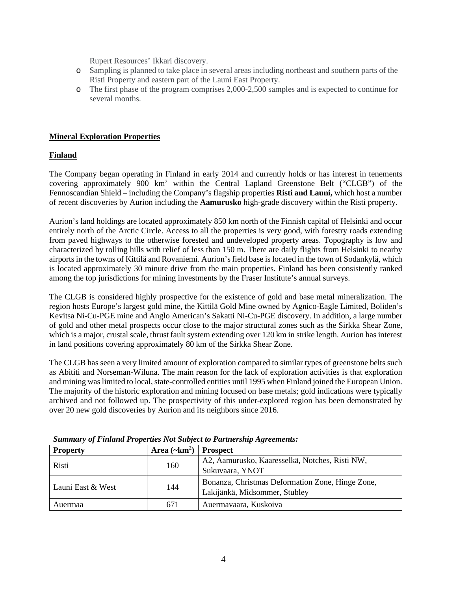Rupert Resources' Ikkari discovery.

- o Sampling is planned to take place in several areas including northeast and southern parts of the Risti Property and eastern part of the Launi East Property.
- o The first phase of the program comprises 2,000-2,500 samples and is expected to continue for several months.

## **Mineral Exploration Properties**

## **Finland**

The Company began operating in Finland in early 2014 and currently holds or has interest in tenements covering approximately 900 km<sup>2</sup> within the Central Lapland Greenstone Belt ("CLGB") of the Fennoscandian Shield – including the Company's flagship properties **Risti and Launi,** which host a number of recent discoveries by Aurion including the **Aamurusko** high-grade discovery within the Risti property.

Aurion's land holdings are located approximately 850 km north of the Finnish capital of Helsinki and occur entirely north of the Arctic Circle. Access to all the properties is very good, with forestry roads extending from paved highways to the otherwise forested and undeveloped property areas. Topography is low and characterized by rolling hills with relief of less than 150 m. There are daily flights from Helsinki to nearby airports in the towns of Kittilä and Rovaniemi. Aurion's field base is located in the town of Sodankylä, which is located approximately 30 minute drive from the main properties. Finland has been consistently ranked among the top jurisdictions for mining investments by the Fraser Institute's annual surveys.

The CLGB is considered highly prospective for the existence of gold and base metal mineralization. The region hosts Europe's largest gold mine, the Kittilä Gold Mine owned by Agnico-Eagle Limited, Boliden's Kevitsa Ni-Cu-PGE mine and Anglo American's Sakatti Ni-Cu-PGE discovery. In addition, a large number of gold and other metal prospects occur close to the major structural zones such as the Sirkka Shear Zone, which is a major, crustal scale, thrust fault system extending over 120 km in strike length. Aurion has interest in land positions covering approximately 80 km of the Sirkka Shear Zone.

The CLGB has seen a very limited amount of exploration compared to similar types of greenstone belts such as Abititi and Norseman-Wiluna. The main reason for the lack of exploration activities is that exploration and mining was limited to local, state-controlled entities until 1995 when Finland joined the European Union. The majority of the historic exploration and mining focused on base metals; gold indications were typically archived and not followed up. The prospectivity of this under-explored region has been demonstrated by over 20 new gold discoveries by Aurion and its neighbors since 2016.

| <b>Property</b>   | Area $(\sim km^2)$ | <b>Prospect</b>                                  |
|-------------------|--------------------|--------------------------------------------------|
|                   |                    | A2, Aamurusko, Kaaresselkä, Notches, Risti NW,   |
| Risti<br>160      |                    | Sukuvaara, YNOT                                  |
| Launi East & West |                    | Bonanza, Christmas Deformation Zone, Hinge Zone, |
|                   | 144                | Lakijänkä, Midsommer, Stubley                    |
| Auermaa           | 671                | Auermavaara, Kuskoiva                            |

*Summary of Finland Properties Not Subject to Partnership Agreements:*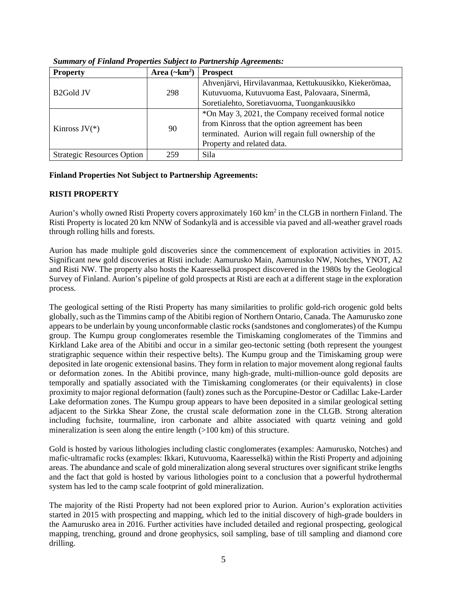| <b>Property</b>                   | Area $(\sim km^2)$ | <b>Prospect</b>                                       |
|-----------------------------------|--------------------|-------------------------------------------------------|
|                                   |                    | Ahvenjärvi, Hirvilavanmaa, Kettukuusikko, Kiekerömaa, |
| B <sub>2</sub> Gold JV            | 298                | Kutuvuoma, Kutuvuoma East, Palovaara, Sinermä,        |
|                                   |                    | Soretialehto, Soretiavuoma, Tuongankuusikko           |
|                                   |                    | *On May 3, 2021, the Company received formal notice   |
| Kinross $JV(*)$                   |                    | from Kinross that the option agreement has been       |
|                                   | 90                 | terminated. Aurion will regain full ownership of the  |
|                                   |                    | Property and related data.                            |
| <b>Strategic Resources Option</b> | 259                | Sila                                                  |

*Summary of Finland Properties Subject to Partnership Agreements:*

## **Finland Properties Not Subject to Partnership Agreements:**

## **RISTI PROPERTY**

Aurion's wholly owned Risti Property covers approximately 160 km<sup>2</sup> in the CLGB in northern Finland. The Risti Property is located 20 km NNW of Sodankylä and is accessible via paved and all-weather gravel roads through rolling hills and forests.

Aurion has made multiple gold discoveries since the commencement of exploration activities in 2015. Significant new gold discoveries at Risti include: Aamurusko Main, Aamurusko NW, Notches, YNOT, A2 and Risti NW. The property also hosts the Kaaresselkä prospect discovered in the 1980s by the Geological Survey of Finland. Aurion's pipeline of gold prospects at Risti are each at a different stage in the exploration process.

The geological setting of the Risti Property has many similarities to prolific gold-rich orogenic gold belts globally, such as the Timmins camp of the Abitibi region of Northern Ontario, Canada. The Aamurusko zone appears to be underlain by young unconformable clastic rocks (sandstones and conglomerates) of the Kumpu group. The Kumpu group conglomerates resemble the Timiskaming conglomerates of the Timmins and Kirkland Lake area of the Abitibi and occur in a similar geo-tectonic setting (both represent the youngest stratigraphic sequence within their respective belts). The Kumpu group and the Timiskaming group were deposited in late orogenic extensional basins. They form in relation to major movement along regional faults or deformation zones. In the Abitibi province, many high-grade, multi-million-ounce gold deposits are temporally and spatially associated with the Timiskaming conglomerates (or their equivalents) in close proximity to major regional deformation (fault) zones such as the Porcupine-Destor or Cadillac Lake-Larder Lake deformation zones. The Kumpu group appears to have been deposited in a similar geological setting adjacent to the Sirkka Shear Zone, the crustal scale deformation zone in the CLGB. Strong alteration including fuchsite, tourmaline, iron carbonate and albite associated with quartz veining and gold mineralization is seen along the entire length  $(>100 \text{ km})$  of this structure.

Gold is hosted by various lithologies including clastic conglomerates (examples: Aamurusko, Notches) and mafic-ultramafic rocks (examples: Ikkari, Kutuvuoma, Kaaresselkä) within the Risti Property and adjoining areas. The abundance and scale of gold mineralization along several structures over significant strike lengths and the fact that gold is hosted by various lithologies point to a conclusion that a powerful hydrothermal system has led to the camp scale footprint of gold mineralization.

The majority of the Risti Property had not been explored prior to Aurion. Aurion's exploration activities started in 2015 with prospecting and mapping, which led to the initial discovery of high-grade boulders in the Aamurusko area in 2016. Further activities have included detailed and regional prospecting, geological mapping, trenching, ground and drone geophysics, soil sampling, base of till sampling and diamond core drilling.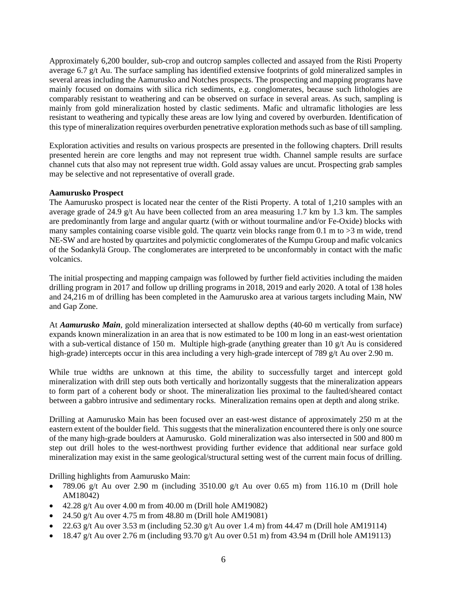Approximately 6,200 boulder, sub-crop and outcrop samples collected and assayed from the Risti Property average 6.7 g/t Au. The surface sampling has identified extensive footprints of gold mineralized samples in several areas including the Aamurusko and Notches prospects. The prospecting and mapping programs have mainly focused on domains with silica rich sediments, e.g. conglomerates, because such lithologies are comparably resistant to weathering and can be observed on surface in several areas. As such, sampling is mainly from gold mineralization hosted by clastic sediments. Mafic and ultramafic lithologies are less resistant to weathering and typically these areas are low lying and covered by overburden. Identification of this type of mineralization requires overburden penetrative exploration methods such as base of till sampling.

Exploration activities and results on various prospects are presented in the following chapters. Drill results presented herein are core lengths and may not represent true width. Channel sample results are surface channel cuts that also may not represent true width. Gold assay values are uncut. Prospecting grab samples may be selective and not representative of overall grade.

#### **Aamurusko Prospect**

The Aamurusko prospect is located near the center of the Risti Property. A total of 1,210 samples with an average grade of 24.9 g/t Au have been collected from an area measuring 1.7 km by 1.3 km. The samples are predominantly from large and angular quartz (with or without tourmaline and/or Fe-Oxide) blocks with many samples containing coarse visible gold. The quartz vein blocks range from 0.1 m to  $>3$  m wide, trend NE-SW and are hosted by quartzites and polymictic conglomerates of the Kumpu Group and mafic volcanics of the Sodankylä Group. The conglomerates are interpreted to be unconformably in contact with the mafic volcanics.

The initial prospecting and mapping campaign was followed by further field activities including the maiden drilling program in 2017 and follow up drilling programs in 2018, 2019 and early 2020. A total of 138 holes and 24,216 m of drilling has been completed in the Aamurusko area at various targets including Main, NW and Gap Zone.

At *Aamurusko Main*, gold mineralization intersected at shallow depths (40-60 m vertically from surface) expands known mineralization in an area that is now estimated to be 100 m long in an east-west orientation with a sub-vertical distance of 150 m. Multiple high-grade (anything greater than 10 g/t Au is considered high-grade) intercepts occur in this area including a very high-grade intercept of 789 g/t Au over 2.90 m.

While true widths are unknown at this time, the ability to successfully target and intercept gold mineralization with drill step outs both vertically and horizontally suggests that the mineralization appears to form part of a coherent body or shoot. The mineralization lies proximal to the faulted/sheared contact between a gabbro intrusive and sedimentary rocks. Mineralization remains open at depth and along strike.

Drilling at Aamurusko Main has been focused over an east-west distance of approximately 250 m at the eastern extent of the boulder field. This suggests that the mineralization encountered there is only one source of the many high-grade boulders at Aamurusko. Gold mineralization was also intersected in 500 and 800 m step out drill holes to the west-northwest providing further evidence that additional near surface gold mineralization may exist in the same geological/structural setting west of the current main focus of drilling.

Drilling highlights from Aamurusko Main:

- 789.06 g/t Au over 2.90 m (including  $3510.00$  g/t Au over 0.65 m) from 116.10 m (Drill hole AM18042)
- $\bullet$  42.28 g/t Au over 4.00 m from 40.00 m (Drill hole AM19082)
- 24.50 g/t Au over 4.75 m from  $48.80$  m (Drill hole AM19081)
- 22.63 g/t Au over 3.53 m (including 52.30 g/t Au over 1.4 m) from 44.47 m (Drill hole AM19114)
- $\bullet$  18.47 g/t Au over 2.76 m (including 93.70 g/t Au over 0.51 m) from 43.94 m (Drill hole AM19113)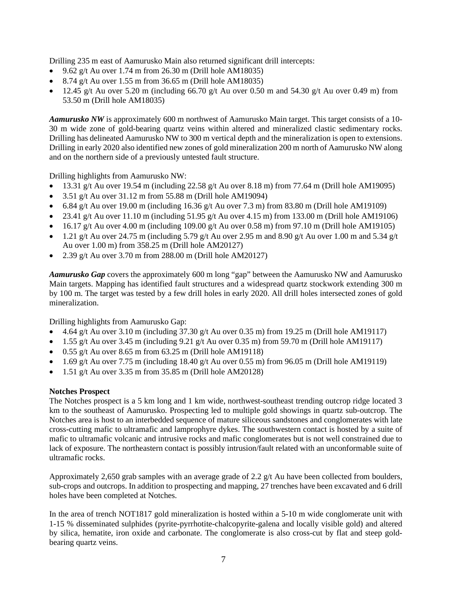Drilling 235 m east of Aamurusko Main also returned significant drill intercepts:

- 9.62 g/t Au over 1.74 m from 26.30 m (Drill hole AM18035)
- 8.74 g/t Au over 1.55 m from 36.65 m (Drill hole AM18035)
- 12.45 g/t Au over 5.20 m (including 66.70 g/t Au over 0.50 m and 54.30 g/t Au over 0.49 m) from 53.50 m (Drill hole AM18035)

*Aamurusko NW* is approximately 600 m northwest of Aamurusko Main target. This target consists of a 10- 30 m wide zone of gold-bearing quartz veins within altered and mineralized clastic sedimentary rocks. Drilling has delineated Aamurusko NW to 300 m vertical depth and the mineralization is open to extensions. Drilling in early 2020 also identified new zones of gold mineralization 200 m north of Aamurusko NW along and on the northern side of a previously untested fault structure.

Drilling highlights from Aamurusko NW:

- 13.31 g/t Au over 19.54 m (including 22.58 g/t Au over 8.18 m) from 77.64 m (Drill hole AM19095)
- 3.51 g/t Au over 31.12 m from 55.88 m (Drill hole AM19094)
- 6.84 g/t Au over 19.00 m (including 16.36 g/t Au over 7.3 m) from 83.80 m (Drill hole AM19109)
- 23.41 g/t Au over 11.10 m (including  $51.95$  g/t Au over 4.15 m) from 133.00 m (Drill hole AM19106)
- $\bullet$  16.17 g/t Au over 4.00 m (including 109.00 g/t Au over 0.58 m) from 97.10 m (Drill hole AM19105)
- 1.21 g/t Au over 24.75 m (including 5.79 g/t Au over 2.95 m and 8.90 g/t Au over 1.00 m and 5.34 g/t Au over 1.00 m) from 358.25 m (Drill hole AM20127)
- 2.39 g/t Au over 3.70 m from 288.00 m (Drill hole AM20127)

*Aamurusko Gap* covers the approximately 600 m long "gap" between the Aamurusko NW and Aamurusko Main targets. Mapping has identified fault structures and a widespread quartz stockwork extending 300 m by 100 m. The target was tested by a few drill holes in early 2020. All drill holes intersected zones of gold mineralization.

Drilling highlights from Aamurusko Gap:

- 4.64 g/t Au over 3.10 m (including  $37.30$  g/t Au over 0.35 m) from 19.25 m (Drill hole AM19117)
- 1.55 g/t Au over 3.45 m (including 9.21 g/t Au over 0.35 m) from 59.70 m (Drill hole AM19117)
- $\bullet$  0.55 g/t Au over 8.65 m from 63.25 m (Drill hole AM19118)
- 1.69 g/t Au over 7.75 m (including 18.40 g/t Au over 0.55 m) from 96.05 m (Drill hole AM19119)
- 1.51 g/t Au over 3.35 m from 35.85 m (Drill hole AM20128)

#### **Notches Prospect**

The Notches prospect is a 5 km long and 1 km wide, northwest-southeast trending outcrop ridge located 3 km to the southeast of Aamurusko. Prospecting led to multiple gold showings in quartz sub-outcrop. The Notches area is host to an interbedded sequence of mature siliceous sandstones and conglomerates with late cross-cutting mafic to ultramafic and lamprophyre dykes. The southwestern contact is hosted by a suite of mafic to ultramafic volcanic and intrusive rocks and mafic conglomerates but is not well constrained due to lack of exposure. The northeastern contact is possibly intrusion/fault related with an unconformable suite of ultramafic rocks.

Approximately 2,650 grab samples with an average grade of 2.2 g/t Au have been collected from boulders, sub-crops and outcrops. In addition to prospecting and mapping, 27 trenches have been excavated and 6 drill holes have been completed at Notches.

In the area of trench NOT1817 gold mineralization is hosted within a 5-10 m wide conglomerate unit with 1-15 % disseminated sulphides (pyrite-pyrrhotite-chalcopyrite-galena and locally visible gold) and altered by silica, hematite, iron oxide and carbonate. The conglomerate is also cross-cut by flat and steep goldbearing quartz veins.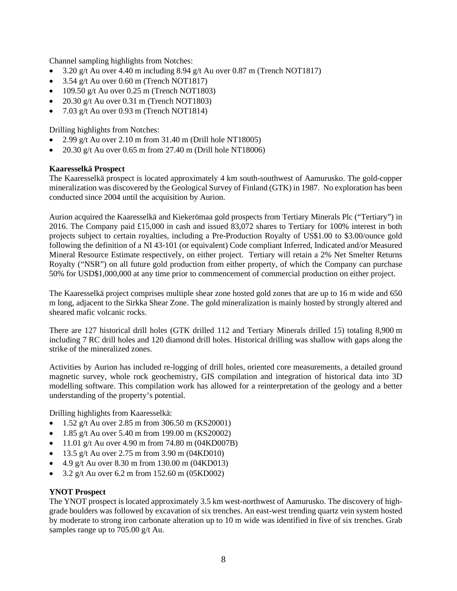Channel sampling highlights from Notches:

- 3.20 g/t Au over 4.40 m including 8.94 g/t Au over 0.87 m (Trench NOT1817)
- 3.54 g/t Au over 0.60 m (Trench NOT1817)
- $\bullet$  109.50 g/t Au over 0.25 m (Trench NOT1803)
- 20.30 g/t Au over 0.31 m (Trench NOT1803)
- 7.03 g/t Au over 0.93 m (Trench NOT1814)

Drilling highlights from Notches:

- 2.99 g/t Au over 2.10 m from 31.40 m (Drill hole NT18005)
- 20.30 g/t Au over 0.65 m from 27.40 m (Drill hole NT18006)

#### **Kaaresselkä Prospect**

The Kaaresselkä prospect is located approximately 4 km south-southwest of Aamurusko. The gold-copper mineralization was discovered by the Geological Survey of Finland (GTK) in 1987. No exploration has been conducted since 2004 until the acquisition by Aurion.

Aurion acquired the Kaaresselkä and Kiekerömaa gold prospects from Tertiary Minerals Plc ("Tertiary") in 2016. The Company paid £15,000 in cash and issued 83,072 shares to Tertiary for 100% interest in both projects subject to certain royalties, including a Pre-Production Royalty of US\$1.00 to \$3.00/ounce gold following the definition of a NI 43-101 (or equivalent) Code compliant Inferred, Indicated and/or Measured Mineral Resource Estimate respectively, on either project. Tertiary will retain a 2% Net Smelter Returns Royalty ("NSR") on all future gold production from either property, of which the Company can purchase 50% for USD\$1,000,000 at any time prior to commencement of commercial production on either project.

The Kaaresselkä project comprises multiple shear zone hosted gold zones that are up to 16 m wide and 650 m long, adjacent to the Sirkka Shear Zone. The gold mineralization is mainly hosted by strongly altered and sheared mafic volcanic rocks.

There are 127 historical drill holes (GTK drilled 112 and Tertiary Minerals drilled 15) totaling 8,900 m including 7 RC drill holes and 120 diamond drill holes. Historical drilling was shallow with gaps along the strike of the mineralized zones.

Activities by Aurion has included re-logging of drill holes, oriented core measurements, a detailed ground magnetic survey, whole rock geochemistry, GIS compilation and integration of historical data into 3D modelling software. This compilation work has allowed for a reinterpretation of the geology and a better understanding of the property's potential.

Drilling highlights from Kaaresselkä:

- 1.52 g/t Au over 2.85 m from 306.50 m (KS20001)
- $1.85 \frac{\text{g}}{\text{t}}$  Au over 5.40 m from 199.00 m (KS20002)
- 11.01 g/t Au over 4.90 m from 74.80 m  $(04KD007B)$
- 13.5 g/t Au over 2.75 m from 3.90 m  $(04KD010)$
- 4.9 g/t Au over 8.30 m from 130.00 m (04KD013)
- 3.2 g/t Au over 6.2 m from 152.60 m (05KD002)

#### **YNOT Prospect**

The YNOT prospect is located approximately 3.5 km west-northwest of Aamurusko. The discovery of highgrade boulders was followed by excavation of six trenches. An east-west trending quartz vein system hosted by moderate to strong iron carbonate alteration up to 10 m wide was identified in five of six trenches. Grab samples range up to 705.00 g/t Au.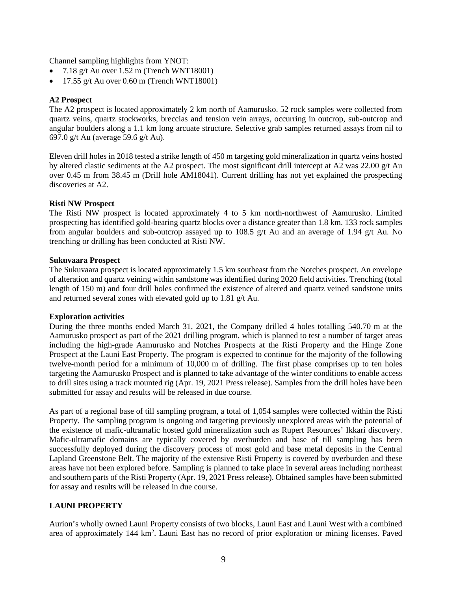Channel sampling highlights from YNOT:

- $7.18 \text{ g/t}$  Au over  $1.52 \text{ m}$  (Trench WNT18001)
- 17.55 g/t Au over 0.60 m (Trench WNT18001)

#### **A2 Prospect**

The A2 prospect is located approximately 2 km north of Aamurusko. 52 rock samples were collected from quartz veins, quartz stockworks, breccias and tension vein arrays, occurring in outcrop, sub-outcrop and angular boulders along a 1.1 km long arcuate structure. Selective grab samples returned assays from nil to 697.0 g/t Au (average 59.6 g/t Au).

Eleven drill holes in 2018 tested a strike length of 450 m targeting gold mineralization in quartz veins hosted by altered clastic sediments at the A2 prospect. The most significant drill intercept at A2 was 22.00 g/t Au over 0.45 m from 38.45 m (Drill hole AM18041). Current drilling has not yet explained the prospecting discoveries at A2.

#### **Risti NW Prospect**

The Risti NW prospect is located approximately 4 to 5 km north-northwest of Aamurusko. Limited prospecting has identified gold-bearing quartz blocks over a distance greater than 1.8 km. 133 rock samples from angular boulders and sub-outcrop assayed up to 108.5 g/t Au and an average of 1.94 g/t Au. No trenching or drilling has been conducted at Risti NW.

#### **Sukuvaara Prospect**

The Sukuvaara prospect is located approximately 1.5 km southeast from the Notches prospect. An envelope of alteration and quartz veining within sandstone was identified during 2020 field activities. Trenching (total length of 150 m) and four drill holes confirmed the existence of altered and quartz veined sandstone units and returned several zones with elevated gold up to 1.81 g/t Au.

#### **Exploration activities**

During the three months ended March 31, 2021, the Company drilled 4 holes totalling 540.70 m at the Aamurusko prospect as part of the 2021 drilling program, which is planned to test a number of target areas including the high-grade Aamurusko and Notches Prospects at the Risti Property and the Hinge Zone Prospect at the Launi East Property. The program is expected to continue for the majority of the following twelve-month period for a minimum of 10,000 m of drilling. The first phase comprises up to ten holes targeting the Aamurusko Prospect and is planned to take advantage of the winter conditions to enable access to drill sites using a track mounted rig (Apr. 19, 2021 Press release). Samples from the drill holes have been submitted for assay and results will be released in due course.

As part of a regional base of till sampling program, a total of 1,054 samples were collected within the Risti Property. The sampling program is ongoing and targeting previously unexplored areas with the potential of the existence of mafic-ultramafic hosted gold mineralization such as Rupert Resources' Ikkari discovery. Mafic-ultramafic domains are typically covered by overburden and base of till sampling has been successfully deployed during the discovery process of most gold and base metal deposits in the Central Lapland Greenstone Belt. The majority of the extensive Risti Property is covered by overburden and these areas have not been explored before. Sampling is planned to take place in several areas including northeast and southern parts of the Risti Property (Apr. 19, 2021 Press release). Obtained samples have been submitted for assay and results will be released in due course.

#### **LAUNI PROPERTY**

Aurion's wholly owned Launi Property consists of two blocks, Launi East and Launi West with a combined area of approximately 144 km<sup>2</sup>. Launi East has no record of prior exploration or mining licenses. Paved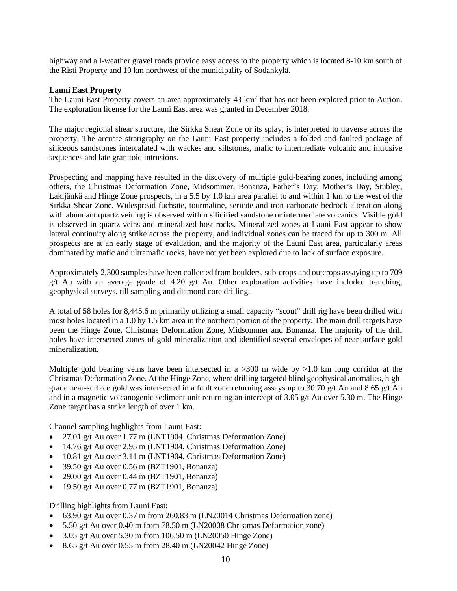highway and all-weather gravel roads provide easy access to the property which is located 8-10 km south of the Risti Property and 10 km northwest of the municipality of Sodankylä.

#### **Launi East Property**

The Launi East Property covers an area approximately 43 km<sup>2</sup> that has not been explored prior to Aurion. The exploration license for the Launi East area was granted in December 2018.

The major regional shear structure, the Sirkka Shear Zone or its splay, is interpreted to traverse across the property. The arcuate stratigraphy on the Launi East property includes a folded and faulted package of siliceous sandstones intercalated with wackes and siltstones, mafic to intermediate volcanic and intrusive sequences and late granitoid intrusions.

Prospecting and mapping have resulted in the discovery of multiple gold-bearing zones, including among others, the Christmas Deformation Zone, Midsommer, Bonanza, Father's Day, Mother's Day, Stubley, Lakijänkä and Hinge Zone prospects, in a 5.5 by 1.0 km area parallel to and within 1 km to the west of the Sirkka Shear Zone. Widespread fuchsite, tourmaline, sericite and iron-carbonate bedrock alteration along with abundant quartz veining is observed within silicified sandstone or intermediate volcanics. Visible gold is observed in quartz veins and mineralized host rocks. Mineralized zones at Launi East appear to show lateral continuity along strike across the property, and individual zones can be traced for up to 300 m. All prospects are at an early stage of evaluation, and the majority of the Launi East area, particularly areas dominated by mafic and ultramafic rocks, have not yet been explored due to lack of surface exposure.

Approximately 2,300 samples have been collected from boulders, sub-crops and outcrops assaying up to 709  $g/t$  Au with an average grade of 4.20  $g/t$  Au. Other exploration activities have included trenching, geophysical surveys, till sampling and diamond core drilling.

A total of 58 holes for 8,445.6 m primarily utilizing a small capacity "scout" drill rig have been drilled with most holes located in a 1.0 by 1.5 km area in the northern portion of the property. The main drill targets have been the Hinge Zone, Christmas Deformation Zone, Midsommer and Bonanza. The majority of the drill holes have intersected zones of gold mineralization and identified several envelopes of near-surface gold mineralization.

Multiple gold bearing veins have been intersected in a  $>300$  m wide by  $>1.0$  km long corridor at the Christmas Deformation Zone. At the Hinge Zone, where drilling targeted blind geophysical anomalies, highgrade near-surface gold was intersected in a fault zone returning assays up to 30.70 g/t Au and 8.65 g/t Au and in a magnetic volcanogenic sediment unit returning an intercept of 3.05 g/t Au over 5.30 m. The Hinge Zone target has a strike length of over 1 km.

Channel sampling highlights from Launi East:

- 27.01 g/t Au over 1.77 m (LNT1904, Christmas Deformation Zone)
- 14.76 g/t Au over 2.95 m (LNT1904, Christmas Deformation Zone)
- 10.81 g/t Au over 3.11 m (LNT1904, Christmas Deformation Zone)
- 39.50 g/t Au over 0.56 m (BZT1901, Bonanza)
- 29.00 g/t Au over 0.44 m (BZT1901, Bonanza)
- 19.50 g/t Au over 0.77 m (BZT1901, Bonanza)

Drilling highlights from Launi East:

- 63.90 g/t Au over 0.37 m from 260.83 m (LN20014 Christmas Deformation zone)
- 5.50 g/t Au over 0.40 m from 78.50 m (LN20008 Christmas Deformation zone)
- $3.05$  g/t Au over 5.30 m from 106.50 m (LN20050 Hinge Zone)
- 8.65 g/t Au over 0.55 m from 28.40 m (LN20042 Hinge Zone)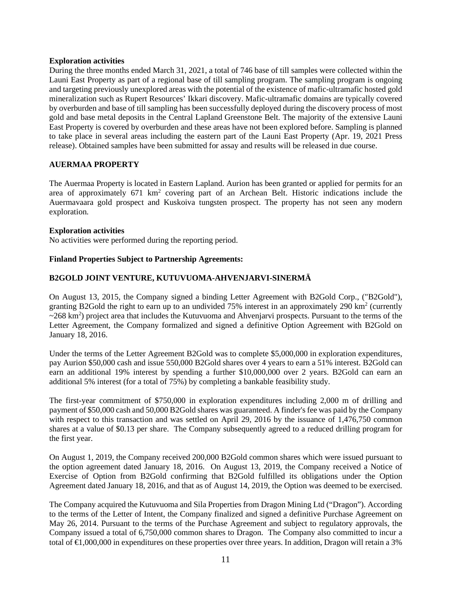#### **Exploration activities**

During the three months ended March 31, 2021, a total of 746 base of till samples were collected within the Launi East Property as part of a regional base of till sampling program. The sampling program is ongoing and targeting previously unexplored areas with the potential of the existence of mafic-ultramafic hosted gold mineralization such as Rupert Resources' Ikkari discovery. Mafic-ultramafic domains are typically covered by overburden and base of till sampling has been successfully deployed during the discovery process of most gold and base metal deposits in the Central Lapland Greenstone Belt. The majority of the extensive Launi East Property is covered by overburden and these areas have not been explored before. Sampling is planned to take place in several areas including the eastern part of the Launi East Property (Apr. 19, 2021 Press release). Obtained samples have been submitted for assay and results will be released in due course.

#### **AUERMAA PROPERTY**

The Auermaa Property is located in Eastern Lapland. Aurion has been granted or applied for permits for an area of approximately 671 km<sup>2</sup> covering part of an Archean Belt. Historic indications include the Auermavaara gold prospect and Kuskoiva tungsten prospect. The property has not seen any modern exploration.

#### **Exploration activities**

No activities were performed during the reporting period.

#### **Finland Properties Subject to Partnership Agreements:**

#### **B2GOLD JOINT VENTURE, KUTUVUOMA-AHVENJARVI-SINERMÄ**

On August 13, 2015, the Company signed a binding Letter Agreement with B2Gold Corp., ("B2Gold"), granting B2Gold the right to earn up to an undivided 75% interest in an approximately 290 km2 (currently  $\sim$ 268 km<sup>2</sup>) project area that includes the Kutuvuoma and Ahvenjarvi prospects. Pursuant to the terms of the Letter Agreement, the Company formalized and signed a definitive Option Agreement with B2Gold on January 18, 2016.

Under the terms of the Letter Agreement B2Gold was to complete \$5,000,000 in exploration expenditures, pay Aurion \$50,000 cash and issue 550,000 B2Gold shares over 4 years to earn a 51% interest. B2Gold can earn an additional 19% interest by spending a further \$10,000,000 over 2 years. B2Gold can earn an additional 5% interest (for a total of 75%) by completing a bankable feasibility study.

The first-year commitment of \$750,000 in exploration expenditures including 2,000 m of drilling and payment of \$50,000 cash and 50,000 B2Gold shares was guaranteed. A finder's fee was paid by the Company with respect to this transaction and was settled on April 29, 2016 by the issuance of 1,476,750 common shares at a value of \$0.13 per share. The Company subsequently agreed to a reduced drilling program for the first year.

On August 1, 2019, the Company received 200,000 B2Gold common shares which were issued pursuant to the option agreement dated January 18, 2016. On August 13, 2019, the Company received a Notice of Exercise of Option from B2Gold confirming that B2Gold fulfilled its obligations under the Option Agreement dated January 18, 2016, and that as of August 14, 2019, the Option was deemed to be exercised.

The Company acquired the Kutuvuoma and Sila Properties from Dragon Mining Ltd ("Dragon"). According to the terms of the Letter of Intent, the Company finalized and signed a definitive Purchase Agreement on May 26, 2014. Pursuant to the terms of the Purchase Agreement and subject to regulatory approvals, the Company issued a total of 6,750,000 common shares to Dragon. The Company also committed to incur a total of €1,000,000 in expenditures on these properties over three years. In addition, Dragon will retain a 3%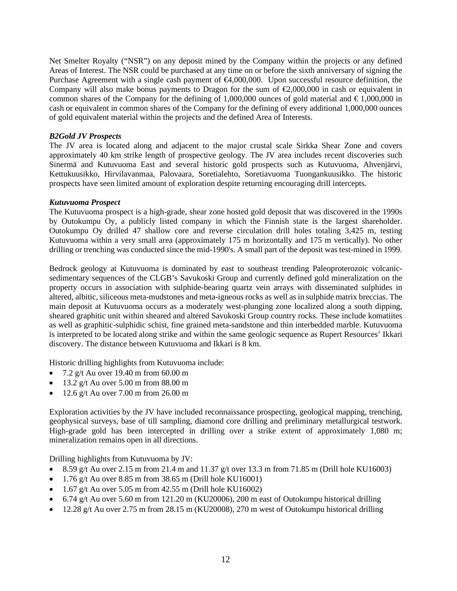Net Smelter Royalty ("NSR") on any deposit mined by the Company within the projects or any defined Areas of Interest. The NSR could be purchased at any time on or before the sixth anniversary of signing the Purchase Agreement with a single cash payment of €4,000,000. Upon successful resource definition, the Company will also make bonus payments to Dragon for the sum of  $\epsilon$ 2,000,000 in cash or equivalent in common shares of the Company for the defining of 1,000,000 ounces of gold material and  $\epsilon$ 1,000,000 in cash or equivalent in common shares of the Company for the defining of every additional 1,000,000 ounces of gold equivalent material within the projects and the defined Area of Interests.

#### *B2Gold JV Prospects*

The JV area is located along and adjacent to the major crustal scale Sirkka Shear Zone and covers approximately 40 km strike length of prospective geology. The JV area includes recent discoveries such Sinermä and Kutuvuoma East and several historic gold prospects such as Kutuvuoma, Ahvenjärvi, Kettukuusikko, Hirvilavanmaa, Palovaara, Soretialehto, Soretiavuoma Tuongankuusikko. The historic prospects have seen limited amount of exploration despite returning encouraging drill intercepts.

#### *Kutuvuoma Prospect*

The Kutuvuoma prospect is a high-grade, shear zone hosted gold deposit that was discovered in the 1990s by Outokumpu Oy, a publicly listed company in which the Finnish state is the largest shareholder. Outokumpu Oy drilled 47 shallow core and reverse circulation drill holes totaling 3,425 m, testing Kutuvuoma within a very small area (approximately 175 m horizontally and 175 m vertically). No other drilling or trenching was conducted since the mid-1990's. A small part of the deposit was test-mined in 1999.

Bedrock geology at Kutuvuoma is dominated by east to southeast trending Paleoproterozoic volcanicsedimentary sequences of the CLGB's Savukoski Group and currently defined gold mineralization on the property occurs in association with sulphide-bearing quartz vein arrays with disseminated sulphides in altered, albitic, siliceous meta-mudstones and meta-igneous rocks as well as in sulphide matrix breccias. The main deposit at Kutuvuoma occurs as a moderately west-plunging zone localized along a south dipping, sheared graphitic unit within sheared and altered Savukoski Group country rocks. These include komatiites as well as graphitic-sulphidic schist, fine grained meta-sandstone and thin interbedded marble. Kutuvuoma is interpreted to be located along strike and within the same geologic sequence as Rupert Resources' Ikkari discovery. The distance between Kutuvuoma and Ikkari is 8 km.

Historic drilling highlights from Kutuvuoma include:

- 7.2 g/t Au over 19.40 m from  $60.00 \text{ m}$
- 13.2 g/t Au over  $5.00 \text{ m}$  from  $88.00 \text{ m}$
- 12.6 g/t Au over 7.00 m from 26.00 m

Exploration activities by the JV have included reconnaissance prospecting, geological mapping, trenching, geophysical surveys, base of till sampling, diamond core drilling and preliminary metallurgical testwork. High-grade gold has been intercepted in drilling over a strike extent of approximately 1,080 m; mineralization remains open in all directions.

Drilling highlights from Kutuvuoma by JV:

- 8.59 g/t Au over 2.15 m from 21.4 m and 11.37 g/t over 13.3 m from 71.85 m (Drill hole KU16003)
- 1.76 g/t Au over 8.85 m from 38.65 m (Drill hole KU16001)
- 1.67 g/t Au over 5.05 m from 42.55 m (Drill hole KU16002)
- 6.74 g/t Au over 5.60 m from 121.20 m (KU20006), 200 m east of Outokumpu historical drilling
- 12.28 g/t Au over 2.75 m from 28.15 m (KU20008), 270 m west of Outokumpu historical drilling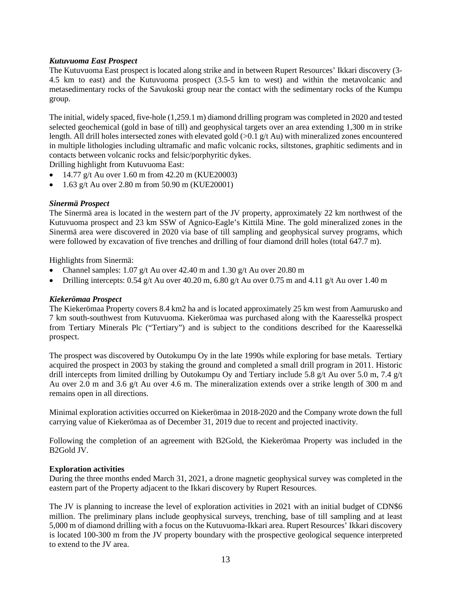#### *Kutuvuoma East Prospect*

The Kutuvuoma East prospect is located along strike and in between Rupert Resources' Ikkari discovery (3- 4.5 km to east) and the Kutuvuoma prospect (3.5-5 km to west) and within the metavolcanic and metasedimentary rocks of the Savukoski group near the contact with the sedimentary rocks of the Kumpu group.

The initial, widely spaced, five-hole (1,259.1 m) diamond drilling program was completed in 2020 and tested selected geochemical (gold in base of till) and geophysical targets over an area extending 1,300 m in strike length. All drill holes intersected zones with elevated gold (>0.1 g/t Au) with mineralized zones encountered in multiple lithologies including ultramafic and mafic volcanic rocks, siltstones, graphitic sediments and in contacts between volcanic rocks and felsic/porphyritic dykes.

Drilling highlight from Kutuvuoma East:

- 14.77 g/t Au over 1.60 m from  $42.20$  m (KUE20003)
- $1.63$  g/t Au over 2.80 m from 50.90 m (KUE20001)

#### *Sinermä Prospect*

The Sinermä area is located in the western part of the JV property, approximately 22 km northwest of the Kutuvuoma prospect and 23 km SSW of Agnico-Eagle's Kittilä Mine. The gold mineralized zones in the Sinermä area were discovered in 2020 via base of till sampling and geophysical survey programs, which were followed by excavation of five trenches and drilling of four diamond drill holes (total 647.7 m).

Highlights from Sinermä:

- Channel samples:  $1.07$  g/t Au over 42.40 m and  $1.30$  g/t Au over 20.80 m
- Drilling intercepts: 0.54 g/t Au over 40.20 m, 6.80 g/t Au over 0.75 m and 4.11 g/t Au over 1.40 m

#### *Kiekerömaa Prospect*

The Kiekerömaa Property covers 8.4 km2 ha and is located approximately 25 km west from Aamurusko and 7 km south-southwest from Kutuvuoma. Kiekerömaa was purchased along with the Kaaresselkä prospect from Tertiary Minerals Plc ("Tertiary") and is subject to the conditions described for the Kaaresselkä prospect.

The prospect was discovered by Outokumpu Oy in the late 1990s while exploring for base metals. Tertiary acquired the prospect in 2003 by staking the ground and completed a small drill program in 2011. Historic drill intercepts from limited drilling by Outokumpu Oy and Tertiary include 5.8 g/t Au over 5.0 m, 7.4 g/t Au over 2.0 m and 3.6 g/t Au over 4.6 m. The mineralization extends over a strike length of 300 m and remains open in all directions.

Minimal exploration activities occurred on Kiekerömaa in 2018-2020 and the Company wrote down the full carrying value of Kiekerömaa as of December 31, 2019 due to recent and projected inactivity.

Following the completion of an agreement with B2Gold, the Kiekerömaa Property was included in the B2Gold JV.

#### **Exploration activities**

During the three months ended March 31, 2021, a drone magnetic geophysical survey was completed in the eastern part of the Property adjacent to the Ikkari discovery by Rupert Resources.

The JV is planning to increase the level of exploration activities in 2021 with an initial budget of CDN\$6 million. The preliminary plans include geophysical surveys, trenching, base of till sampling and at least 5,000 m of diamond drilling with a focus on the Kutuvuoma-Ikkari area. Rupert Resources' Ikkari discovery is located 100-300 m from the JV property boundary with the prospective geological sequence interpreted to extend to the JV area.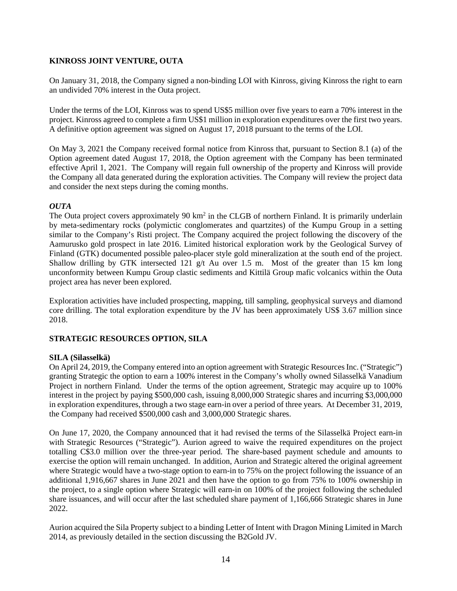## **KINROSS JOINT VENTURE, OUTA**

On January 31, 2018, the Company signed a non-binding LOI with Kinross, giving Kinross the right to earn an undivided 70% interest in the Outa project.

Under the terms of the LOI, Kinross was to spend US\$5 million over five years to earn a 70% interest in the project. Kinross agreed to complete a firm US\$1 million in exploration expenditures over the first two years. A definitive option agreement was signed on August 17, 2018 pursuant to the terms of the LOI.

On May 3, 2021 the Company received formal notice from Kinross that, pursuant to Section 8.1 (a) of the Option agreement dated August 17, 2018, the Option agreement with the Company has been terminated effective April 1, 2021. The Company will regain full ownership of the property and Kinross will provide the Company all data generated during the exploration activities. The Company will review the project data and consider the next steps during the coming months.

## *OUTA*

The Outa project covers approximately 90 km<sup>2</sup> in the CLGB of northern Finland. It is primarily underlain by meta-sedimentary rocks (polymictic conglomerates and quartzites) of the Kumpu Group in a setting similar to the Company's Risti project. The Company acquired the project following the discovery of the Aamurusko gold prospect in late 2016. Limited historical exploration work by the Geological Survey of Finland (GTK) documented possible paleo-placer style gold mineralization at the south end of the project. Shallow drilling by GTK intersected 121 g/t Au over 1.5 m. Most of the greater than 15 km long unconformity between Kumpu Group clastic sediments and Kittilä Group mafic volcanics within the Outa project area has never been explored.

Exploration activities have included prospecting, mapping, till sampling, geophysical surveys and diamond core drilling. The total exploration expenditure by the JV has been approximately US\$ 3.67 million since 2018.

#### **STRATEGIC RESOURCES OPTION, SILA**

#### **SILA (Silasselkä)**

On April 24, 2019, the Company entered into an option agreement with Strategic Resources Inc. ("Strategic") granting Strategic the option to earn a 100% interest in the Company's wholly owned Silasselkä Vanadium Project in northern Finland. Under the terms of the option agreement, Strategic may acquire up to 100% interest in the project by paying \$500,000 cash, issuing 8,000,000 Strategic shares and incurring \$3,000,000 in exploration expenditures, through a two stage earn-in over a period of three years. At December 31, 2019, the Company had received \$500,000 cash and 3,000,000 Strategic shares.

On June 17, 2020, the Company announced that it had revised the terms of the Silasselkä Project earn-in with Strategic Resources ("Strategic"). Aurion agreed to waive the required expenditures on the project totalling C\$3.0 million over the three-year period. The share-based payment schedule and amounts to exercise the option will remain unchanged. In addition, Aurion and Strategic altered the original agreement where Strategic would have a two-stage option to earn-in to 75% on the project following the issuance of an additional 1,916,667 shares in June 2021 and then have the option to go from 75% to 100% ownership in the project, to a single option where Strategic will earn-in on 100% of the project following the scheduled share issuances, and will occur after the last scheduled share payment of 1,166,666 Strategic shares in June 2022.

Aurion acquired the Sila Property subject to a binding Letter of Intent with Dragon Mining Limited in March 2014, as previously detailed in the section discussing the B2Gold JV.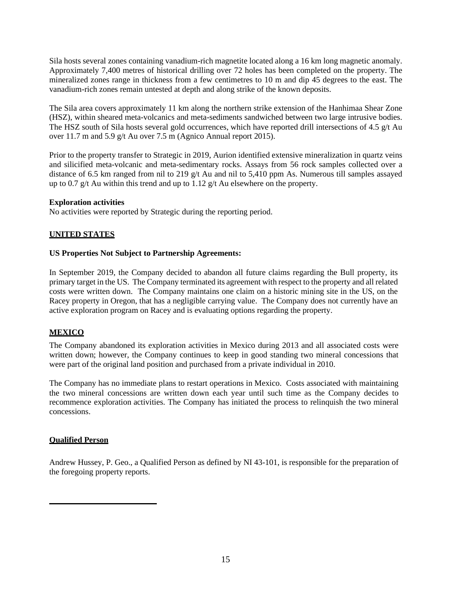Sila hosts several zones containing vanadium-rich magnetite located along a 16 km long magnetic anomaly. Approximately 7,400 metres of historical drilling over 72 holes has been completed on the property. The mineralized zones range in thickness from a few centimetres to 10 m and dip 45 degrees to the east. The vanadium-rich zones remain untested at depth and along strike of the known deposits.

The Sila area covers approximately 11 km along the northern strike extension of the Hanhimaa Shear Zone (HSZ), within sheared meta-volcanics and meta-sediments sandwiched between two large intrusive bodies. The HSZ south of Sila hosts several gold occurrences, which have reported drill intersections of 4.5 g/t Au over 11.7 m and 5.9 g/t Au over 7.5 m (Agnico Annual report 2015).

Prior to the property transfer to Strategic in 2019, Aurion identified extensive mineralization in quartz veins and silicified meta-volcanic and meta-sedimentary rocks. Assays from 56 rock samples collected over a distance of 6.5 km ranged from nil to 219 g/t Au and nil to 5,410 ppm As. Numerous till samples assayed up to 0.7  $g/t$  Au within this trend and up to 1.12  $g/t$  Au elsewhere on the property.

#### **Exploration activities**

No activities were reported by Strategic during the reporting period.

## **UNITED STATES**

#### **US Properties Not Subject to Partnership Agreements:**

In September 2019, the Company decided to abandon all future claims regarding the Bull property, its primary target in the US. The Company terminated its agreement with respect to the property and all related costs were written down. The Company maintains one claim on a historic mining site in the US, on the Racey property in Oregon, that has a negligible carrying value. The Company does not currently have an active exploration program on Racey and is evaluating options regarding the property.

# **MEXICO**

The Company abandoned its exploration activities in Mexico during 2013 and all associated costs were written down; however, the Company continues to keep in good standing two mineral concessions that were part of the original land position and purchased from a private individual in 2010.

The Company has no immediate plans to restart operations in Mexico. Costs associated with maintaining the two mineral concessions are written down each year until such time as the Company decides to recommence exploration activities. The Company has initiated the process to relinquish the two mineral concessions.

#### **Qualified Person**

Andrew Hussey, P. Geo., a Qualified Person as defined by NI 43-101, is responsible for the preparation of the foregoing property reports.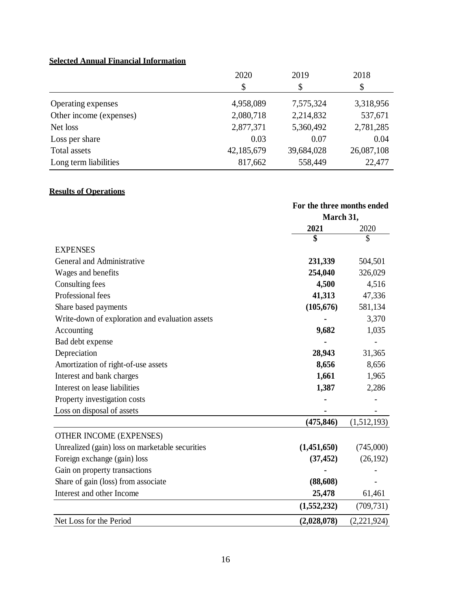# **Selected Annual Financial Information**

|                         | 2020       | 2019       | 2018       |
|-------------------------|------------|------------|------------|
|                         | \$         | \$         | \$         |
| Operating expenses      | 4,958,089  | 7,575,324  | 3,318,956  |
| Other income (expenses) | 2,080,718  | 2,214,832  | 537,671    |
| Net loss                | 2,877,371  | 5,360,492  | 2,781,285  |
| Loss per share          | 0.03       | 0.07       | 0.04       |
| Total assets            | 42,185,679 | 39,684,028 | 26,087,108 |
| Long term liabilities   | 817,662    | 558,449    | 22,477     |

# **Results of Operations**

|                                                 | For the three months ended |             |
|-------------------------------------------------|----------------------------|-------------|
|                                                 | March 31,                  |             |
|                                                 | 2021                       | 2020        |
|                                                 | \$                         | \$          |
| <b>EXPENSES</b>                                 |                            |             |
| General and Administrative                      | 231,339                    | 504,501     |
| Wages and benefits                              | 254,040                    | 326,029     |
| Consulting fees                                 | 4,500                      | 4,516       |
| Professional fees                               | 41,313                     | 47,336      |
| Share based payments                            | (105, 676)                 | 581,134     |
| Write-down of exploration and evaluation assets |                            | 3,370       |
| Accounting                                      | 9,682                      | 1,035       |
| Bad debt expense                                |                            |             |
| Depreciation                                    | 28,943                     | 31,365      |
| Amortization of right-of-use assets             | 8,656                      | 8,656       |
| Interest and bank charges                       | 1,661                      | 1,965       |
| Interest on lease liabilities                   | 1,387                      | 2,286       |
| Property investigation costs                    |                            |             |
| Loss on disposal of assets                      |                            |             |
|                                                 | (475, 846)                 | (1,512,193) |
| OTHER INCOME (EXPENSES)                         |                            |             |
| Unrealized (gain) loss on marketable securities | (1,451,650)                | (745,000)   |
| Foreign exchange (gain) loss                    | (37, 452)                  | (26, 192)   |
| Gain on property transactions                   |                            |             |
| Share of gain (loss) from associate             | (88, 608)                  |             |
| Interest and other Income                       | 25,478                     | 61,461      |
|                                                 | (1,552,232)                | (709, 731)  |
| Net Loss for the Period                         | (2,028,078)                | (2,221,924) |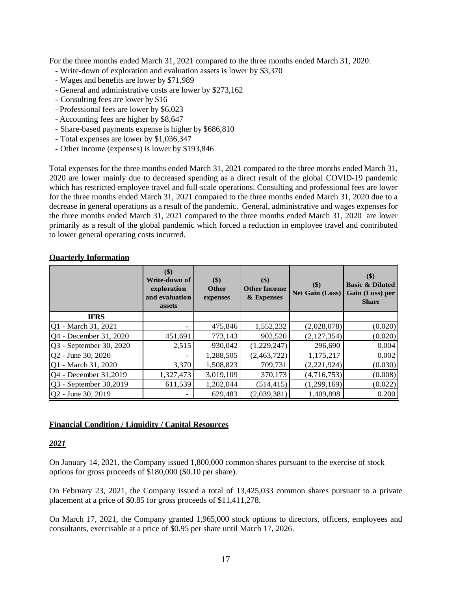For the three months ended March 31, 2021 compared to the three months ended March 31, 2020:

- Write-down of exploration and evaluation assets is lower by \$3,370
- Wages and benefits are lower by \$71,989
- General and administrative costs are lower by \$273,162
- Consulting fees are lower by \$16
- Professional fees are lower by \$6,023
- Accounting fees are higher by \$8,647
- Share-based payments expense is higher by \$686,810
- Total expenses are lower by \$1,036,347
- Other income (expenses) is lower by \$193,846

Total expenses for the three months ended March 31, 2021 compared to the three months ended March 31, 2020 are lower mainly due to decreased spending as a direct result of the global COVID-19 pandemic which has restricted employee travel and full-scale operations. Consulting and professional fees are lower for the three months ended March 31, 2021 compared to the three months ended March 31, 2020 due to a decrease in general operations as a result of the pandemic. General, administrative and wages expenses for the three months ended March 31, 2021 compared to the three months ended March 31, 2020 are lower primarily as a result of the global pandemic which forced a reduction in employee travel and contributed to lower general operating costs incurred.

|  |  | <b>Ouarterly Information</b> |
|--|--|------------------------------|
|--|--|------------------------------|

|                         | \$)<br>Write-down of<br>exploration<br>and evaluation<br>assets | \$)<br><b>Other</b><br>expenses | \$)<br><b>Other Income</b><br>& Expenses | \$)<br><b>Net Gain (Loss)</b> | \$)<br><b>Basic &amp; Diluted</b><br>Gain (Loss) per<br><b>Share</b> |
|-------------------------|-----------------------------------------------------------------|---------------------------------|------------------------------------------|-------------------------------|----------------------------------------------------------------------|
| <b>IFRS</b>             |                                                                 |                                 |                                          |                               |                                                                      |
| Q1 - March 31, 2021     |                                                                 | 475,846                         | 1,552,232                                | (2,028,078)                   | (0.020)                                                              |
| Q4 - December 31, 2020  | 451,691                                                         | 773,143                         | 902,520                                  | (2,127,354)                   | (0.020)                                                              |
| Q3 - September 30, 2020 | 2,515                                                           | 930,042                         | (1,229,247)                              | 296,690                       | 0.004                                                                |
| Q2 - June 30, 2020      |                                                                 | 1,288,505                       | (2,463,722)                              | 1,175,217                     | 0.002                                                                |
| Q1 - March 31, 2020     | 3,370                                                           | 1,508,823                       | 709,731                                  | (2,221,924)                   | (0.030)                                                              |
| Q4 - December 31,2019   | 1,327,473                                                       | 3,019,109                       | 370,173                                  | (4,716,753)                   | (0.008)                                                              |
| Q3 - September 30,2019  | 611,539                                                         | 1,202,044                       | (514, 415)                               | (1,299,169)                   | (0.022)                                                              |
| Q2 - June 30, 2019      |                                                                 | 629,483                         | (2,039,381)                              | 1,409,898                     | 0.200                                                                |

#### **Financial Condition / Liquidity / Capital Resources**

# *2021*

On January 14, 2021, the Company issued 1,800,000 common shares pursuant to the exercise of stock options for gross proceeds of \$180,000 (\$0.10 per share).

On February 23, 2021, the Company issued a total of 13,425,033 common shares pursuant to a private placement at a price of \$0.85 for gross proceeds of \$11,411,278.

On March 17, 2021, the Company granted 1,965,000 stock options to directors, officers, employees and consultants, exercisable at a price of \$0.95 per share until March 17, 2026.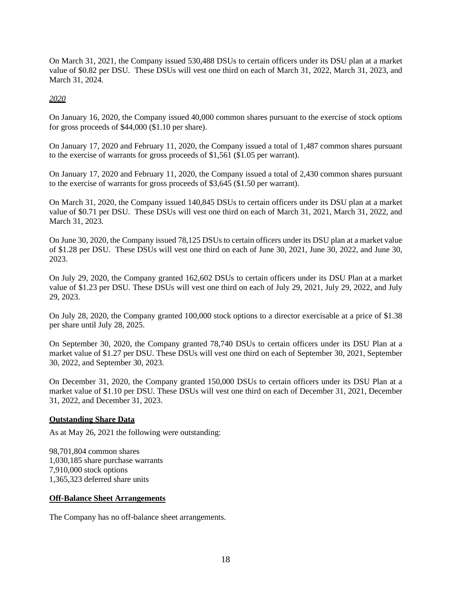On March 31, 2021, the Company issued 530,488 DSUs to certain officers under its DSU plan at a market value of \$0.82 per DSU. These DSUs will vest one third on each of March 31, 2022, March 31, 2023, and March 31, 2024.

*2020*

On January 16, 2020, the Company issued 40,000 common shares pursuant to the exercise of stock options for gross proceeds of \$44,000 (\$1.10 per share).

On January 17, 2020 and February 11, 2020, the Company issued a total of 1,487 common shares pursuant to the exercise of warrants for gross proceeds of \$1,561 (\$1.05 per warrant).

On January 17, 2020 and February 11, 2020, the Company issued a total of 2,430 common shares pursuant to the exercise of warrants for gross proceeds of \$3,645 (\$1.50 per warrant).

On March 31, 2020, the Company issued 140,845 DSUs to certain officers under its DSU plan at a market value of \$0.71 per DSU. These DSUs will vest one third on each of March 31, 2021, March 31, 2022, and March 31, 2023.

On June 30, 2020, the Company issued 78,125 DSUs to certain officers under its DSU plan at a market value of \$1.28 per DSU. These DSUs will vest one third on each of June 30, 2021, June 30, 2022, and June 30, 2023.

On July 29, 2020, the Company granted 162,602 DSUs to certain officers under its DSU Plan at a market value of \$1.23 per DSU. These DSUs will vest one third on each of July 29, 2021, July 29, 2022, and July 29, 2023.

On July 28, 2020, the Company granted 100,000 stock options to a director exercisable at a price of \$1.38 per share until July 28, 2025.

On September 30, 2020, the Company granted 78,740 DSUs to certain officers under its DSU Plan at a market value of \$1.27 per DSU. These DSUs will vest one third on each of September 30, 2021, September 30, 2022, and September 30, 2023.

On December 31, 2020, the Company granted 150,000 DSUs to certain officers under its DSU Plan at a market value of \$1.10 per DSU. These DSUs will vest one third on each of December 31, 2021, December 31, 2022, and December 31, 2023.

#### **Outstanding Share Data**

As at May 26, 2021 the following were outstanding:

98,701,804 common shares 1,030,185 share purchase warrants 7,910,000 stock options 1,365,323 deferred share units

#### **Off-Balance Sheet Arrangements**

The Company has no off-balance sheet arrangements.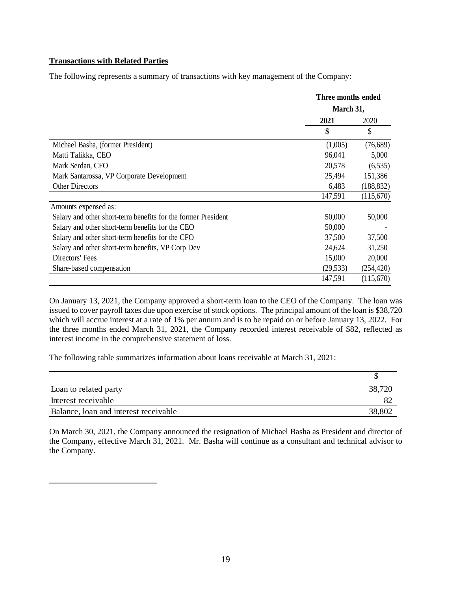#### **Transactions with Related Parties**

The following represents a summary of transactions with key management of the Company:

|                                                               | Three months ended |            |
|---------------------------------------------------------------|--------------------|------------|
|                                                               | March 31,          |            |
|                                                               | 2021               | 2020       |
|                                                               | \$                 | \$         |
| Michael Basha, (former President)                             | (1,005)            | (76,689)   |
| Matti Talikka, CEO                                            | 96,041             | 5,000      |
| Mark Serdan, CFO                                              | 20,578             | (6, 535)   |
| Mark Santarossa, VP Corporate Development                     | 25,494             | 151,386    |
| <b>Other Directors</b>                                        | 6,483              | (188, 832) |
|                                                               | 147,591            | (115,670)  |
| Amounts expensed as:                                          |                    |            |
| Salary and other short-term benefits for the former President | 50,000             | 50,000     |
| Salary and other short-term benefits for the CEO              | 50,000             |            |
| Salary and other short-term benefits for the CFO              | 37,500             | 37,500     |
| Salary and other short-term benefits, VP Corp Dev             | 24,624             | 31,250     |
| Directors' Fees                                               | 15,000             | 20,000     |
| Share-based compensation                                      | (29, 533)          | (254, 420) |
|                                                               | 147,591            | (115,670)  |

On January 13, 2021, the Company approved a short-term loan to the CEO of the Company. The loan was issued to cover payroll taxes due upon exercise of stock options. The principal amount of the loan is \$38,720 which will accrue interest at a rate of 1% per annum and is to be repaid on or before January 13, 2022. For the three months ended March 31, 2021, the Company recorded interest receivable of \$82, reflected as interest income in the comprehensive statement of loss.

The following table summarizes information about loans receivable at March 31, 2021:

| Loan to related party                 | 38,720 |
|---------------------------------------|--------|
| Interest receivable                   |        |
| Balance, loan and interest receivable | 38,802 |

On March 30, 2021, the Company announced the resignation of Michael Basha as President and director of the Company, effective March 31, 2021. Mr. Basha will continue as a consultant and technical advisor to the Company.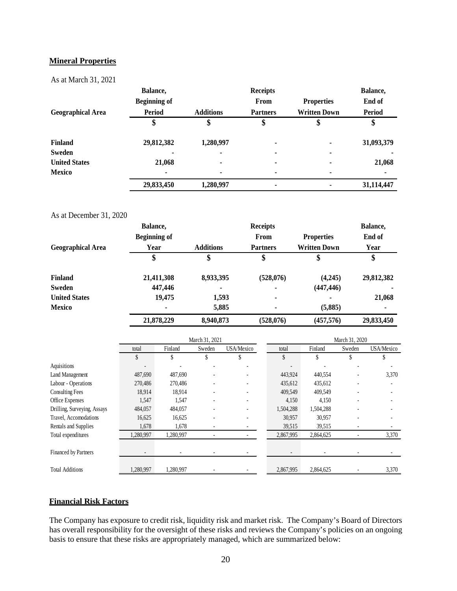#### **Mineral Properties**

As at March 31, 2021

|                          | Balance,            |                  | <b>Receipts</b> |                     | Balance,      |
|--------------------------|---------------------|------------------|-----------------|---------------------|---------------|
|                          | <b>Beginning of</b> |                  | <b>From</b>     | <b>Properties</b>   | End of        |
| <b>Geographical Area</b> | <b>Period</b>       | <b>Additions</b> | <b>Partners</b> | <b>Written Down</b> | <b>Period</b> |
|                          | Φ                   |                  |                 |                     |               |
| <b>Finland</b>           | 29,812,382          | 1,280,997        | ٠               | ۰                   | 31,093,379    |
| Sweden                   | ۰                   |                  | $\blacksquare$  | $\blacksquare$      |               |
| <b>United States</b>     | 21,068              |                  | ۰               | ۰                   | 21,068        |
| <b>Mexico</b>            | ۰                   | $\blacksquare$   | ۰               | $\blacksquare$      |               |
|                          | 29,833,450          | 1,280,997        | ٠               |                     | 31,114,447    |

#### As at December 31, 2020

|                          | Balance,            |                  | <b>Receipts</b> |                     | Balance,   |
|--------------------------|---------------------|------------------|-----------------|---------------------|------------|
|                          | <b>Beginning of</b> |                  | <b>From</b>     | <b>Properties</b>   | End of     |
| <b>Geographical Area</b> | Year                | <b>Additions</b> | <b>Partners</b> | <b>Written Down</b> | Year       |
|                          | \$                  |                  | \$              | \$                  | \$         |
| <b>Finland</b>           | 21,411,308          | 8,933,395        | (528,076)       | (4,245)             | 29,812,382 |
| Sweden                   | 447,446             | ٠                | ٠               | (447, 446)          |            |
| <b>United States</b>     | 19,475              | 1,593            | ٠               |                     | 21,068     |
| <b>Mexico</b>            | ۰                   | 5,885            | $\blacksquare$  | (5,885)             | ۰          |
|                          | 21,878,229          | 8,940,873        | (528,076)       | (457, 576)          | 29,833,450 |

|                             | March 31, 2021           |           |        |                   |           | March 31, 2020 |        |                   |
|-----------------------------|--------------------------|-----------|--------|-------------------|-----------|----------------|--------|-------------------|
|                             | total                    | Finland   | Sweden | <b>USA/Mexico</b> | total     | Finland        | Sweden | <b>USA/Mexico</b> |
|                             | \$                       | \$        | J      | \$                | \$        | \$             | \$     |                   |
| Aquisitions                 | ٠                        |           |        |                   |           |                |        |                   |
| Land Management             | 487,690                  | 487,690   |        |                   | 443,924   | 440,554        |        | 3,370             |
| Labour - Operations         | 270,486                  | 270,486   |        |                   | 435,612   | 435,612        |        |                   |
| <b>Consulting Fees</b>      | 18,914                   | 18,914    |        |                   | 409,549   | 409,549        |        |                   |
| Office Expenses             | 1,547                    | 1,547     |        |                   | 4,150     | 4,150          |        |                   |
| Drilling, Surveying, Assays | 484,057                  | 484,057   |        |                   | 1,504,288 | 1,504,288      |        |                   |
| Travel, Accomodations       | 16,625                   | 16,625    |        |                   | 30,957    | 30,957         |        |                   |
| Rentals and Supplies        | 1,678                    | 1,678     |        |                   | 39,515    | 39,515         |        |                   |
| Total expenditures          | 1,280,997                | 1,280,997 |        |                   | 2,867,995 | 2,864,625      |        | 3,370             |
|                             |                          |           |        |                   |           |                |        |                   |
| <b>Financed by Partners</b> | $\overline{\phantom{a}}$ |           |        |                   |           |                |        |                   |
|                             |                          |           |        |                   |           |                |        |                   |
| <b>Total Additions</b>      | 1,280,997                | 1,280,997 |        |                   | 2,867,995 | 2,864,625      |        | 3,370             |

# **Financial Risk Factors**

The Company has exposure to credit risk, liquidity risk and market risk. The Company's Board of Directors has overall responsibility for the oversight of these risks and reviews the Company's policies on an ongoing basis to ensure that these risks are appropriately managed, which are summarized below: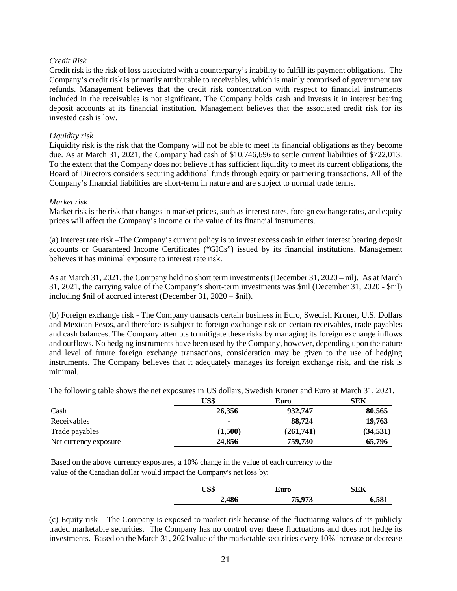## *Credit Risk*

Credit risk is the risk of loss associated with a counterparty's inability to fulfill its payment obligations. The Company's credit risk is primarily attributable to receivables, which is mainly comprised of government tax refunds. Management believes that the credit risk concentration with respect to financial instruments included in the receivables is not significant. The Company holds cash and invests it in interest bearing deposit accounts at its financial institution. Management believes that the associated credit risk for its invested cash is low.

#### *Liquidity risk*

Liquidity risk is the risk that the Company will not be able to meet its financial obligations as they become due. As at March 31, 2021, the Company had cash of \$10,746,696 to settle current liabilities of \$722,013. To the extent that the Company does not believe it has sufficient liquidity to meet its current obligations, the Board of Directors considers securing additional funds through equity or partnering transactions. All of the Company's financial liabilities are short-term in nature and are subject to normal trade terms.

#### *Market risk*

Market risk is the risk that changes in market prices, such as interest rates, foreign exchange rates, and equity prices will affect the Company's income or the value of its financial instruments.

(a) Interest rate risk –The Company's current policy is to invest excess cash in either interest bearing deposit accounts or Guaranteed Income Certificates ("GICs") issued by its financial institutions. Management believes it has minimal exposure to interest rate risk.

As at March 31, 2021, the Company held no short term investments (December 31, 2020 – nil). As at March 31, 2021, the carrying value of the Company's short-term investments was \$nil (December 31, 2020 - \$nil) including \$nil of accrued interest (December 31, 2020 – \$nil).

(b) Foreign exchange risk - The Company transacts certain business in Euro, Swedish Kroner, U.S. Dollars and Mexican Pesos, and therefore is subject to foreign exchange risk on certain receivables, trade payables and cash balances. The Company attempts to mitigate these risks by managing its foreign exchange inflows and outflows. No hedging instruments have been used by the Company, however, depending upon the nature and level of future foreign exchange transactions, consideration may be given to the use of hedging instruments. The Company believes that it adequately manages its foreign exchange risk, and the risk is minimal.

The following table shows the net exposures in US dollars, Swedish Kroner and Euro at March 31, 2021.

|                       | US\$    | Euro      | <b>SEK</b> |
|-----------------------|---------|-----------|------------|
| Cash                  | 26,356  | 932,747   | 80,565     |
| Receivables           |         | 88,724    | 19,763     |
| Trade payables        | (1.500) | (261.741) | (34, 531)  |
| Net currency exposure | 24,856  | 759,730   | 65,796     |

Based on the above currency exposures, a 10% change in the value of each currency to the value of the Canadian dollar would impact the Company's net loss by:

| CO <sub>CD</sub><br>Ud⊅ | ∠uro             | NEK. |
|-------------------------|------------------|------|
| 2,486                   | 75 O72<br>$\sim$ | 581  |

(c) Equity risk – The Company is exposed to market risk because of the fluctuating values of its publicly traded marketable securities. The Company has no control over these fluctuations and does not hedge its investments. Based on the March 31, 2021value of the marketable securities every 10% increase or decrease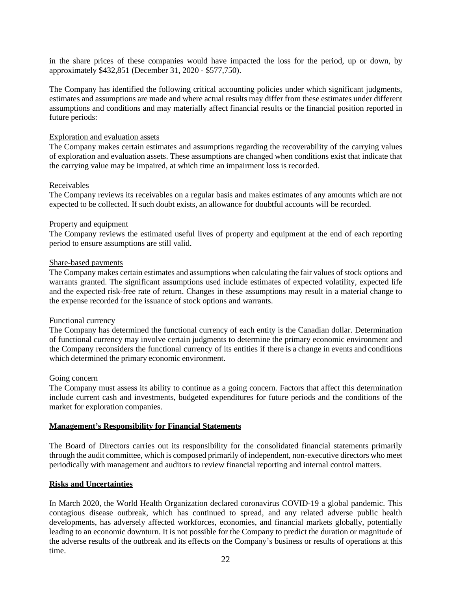in the share prices of these companies would have impacted the loss for the period, up or down, by approximately \$432,851 (December 31, 2020 - \$577,750).

The Company has identified the following critical accounting policies under which significant judgments, estimates and assumptions are made and where actual results may differ from these estimates under different assumptions and conditions and may materially affect financial results or the financial position reported in future periods:

#### Exploration and evaluation assets

The Company makes certain estimates and assumptions regarding the recoverability of the carrying values of exploration and evaluation assets. These assumptions are changed when conditions exist that indicate that the carrying value may be impaired, at which time an impairment loss is recorded.

#### Receivables

The Company reviews its receivables on a regular basis and makes estimates of any amounts which are not expected to be collected. If such doubt exists, an allowance for doubtful accounts will be recorded.

#### Property and equipment

The Company reviews the estimated useful lives of property and equipment at the end of each reporting period to ensure assumptions are still valid.

#### Share-based payments

The Company makes certain estimates and assumptions when calculating the fair values of stock options and warrants granted. The significant assumptions used include estimates of expected volatility, expected life and the expected risk-free rate of return. Changes in these assumptions may result in a material change to the expense recorded for the issuance of stock options and warrants.

#### Functional currency

The Company has determined the functional currency of each entity is the Canadian dollar. Determination of functional currency may involve certain judgments to determine the primary economic environment and the Company reconsiders the functional currency of its entities if there is a change in events and conditions which determined the primary economic environment.

#### Going concern

The Company must assess its ability to continue as a going concern. Factors that affect this determination include current cash and investments, budgeted expenditures for future periods and the conditions of the market for exploration companies.

#### **Management's Responsibility for Financial Statements**

The Board of Directors carries out its responsibility for the consolidated financial statements primarily through the audit committee, which is composed primarily of independent, non-executive directors who meet periodically with management and auditors to review financial reporting and internal control matters.

#### **Risks and Uncertainties**

In March 2020, the World Health Organization declared coronavirus COVID-19 a global pandemic. This contagious disease outbreak, which has continued to spread, and any related adverse public health developments, has adversely affected workforces, economies, and financial markets globally, potentially leading to an economic downturn. It is not possible for the Company to predict the duration or magnitude of the adverse results of the outbreak and its effects on the Company's business or results of operations at this time.